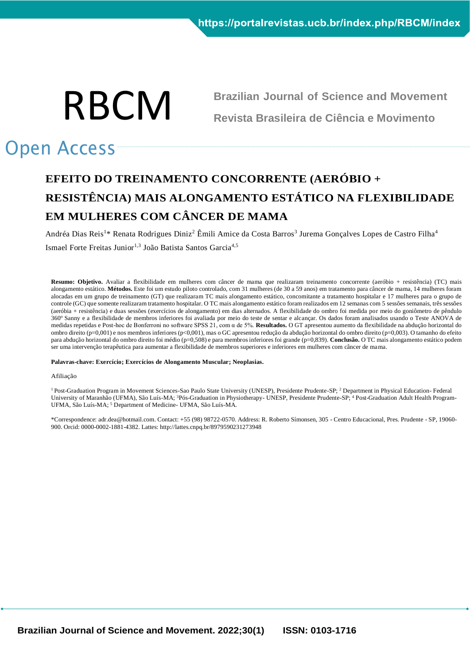

**Brazilian Journal of Science and Movement Revista Brasileira de Ciência e Movimento**

# Open Access

## **EFEITO DO TREINAMENTO CONCORRENTE (AERÓBIO + RESISTÊNCIA) MAIS ALONGAMENTO ESTÁTICO NA FLEXIBILIDADE EM MULHERES COM CÂNCER DE MAMA**

Andréa Dias Reis<sup>1</sup>\* Renata Rodrigues Diniz<sup>2</sup> Êmili Amice da Costa Barros<sup>3</sup> Jurema Gonçalves Lopes de Castro Filha<sup>4</sup> Ismael Forte Freitas Junior<sup>1,3</sup> João Batista Santos Garcia<sup>4,5</sup>

**Resumo: Objetivo.** Avaliar a flexibilidade em mulheres com câncer de mama que realizaram treinamento concorrente (aeróbio + resistência) (TC) mais alongamento estático. **Métodos.** Este foi um estudo piloto controlado, com 31 mulheres (de 30 a 59 anos) em tratamento para câncer de mama, 14 mulheres foram alocadas em um grupo de treinamento (GT) que realizaram TC mais alongamento estático, concomitante a tratamento hospitalar e 17 mulheres para o grupo de controle (GC) que somente realizaram tratamento hospitalar. O TC mais alongamento estático foram realizados em 12 semanas com 5 sessões semanais, três sessões (aeróbia + resistência) e duas sessões (exercícios de alongamento) em dias alternados. A flexibilidade do ombro foi medida por meio do goniômetro de pêndulo 360º Sanny e a flexibilidade de membros inferiores foi avaliada por meio do teste de sentar e alcançar. Os dados foram analisados usando o Teste ANOVA de medidas repetidas e Post-hoc de Bonferroni no software SPSS 21, com α de 5%. **Resultados.** O GT apresentou aumento da flexibilidade na abdução horizontal do ombro direito (p=0,001) e nos membros inferiores (p<0,001), mas o GC apresentou redução da abdução horizontal do ombro direito (p=0,003). O tamanho do efeito para abdução horizontal do ombro direito foi médio (p=0,508) e para membros inferiores foi grande (p=0,839). **Conclusão.** O TC mais alongamento estático podem ser uma intervenção terapêutica para aumentar a flexibilidade de membros superiores e inferiores em mulheres com câncer de mama.

#### **Palavras-chave: Exercício; Exercícios de Alongamento Muscular; Neoplasias.**

#### Afiliação

<sup>1</sup> Post-Graduation Program in Movement Sciences-Sao Paulo State University (UNESP), Presidente Prudente-SP; <sup>2</sup> Department in Physical Education- Federal University of Maranhão (UFMA), São Luís-MA; <sup>3</sup>Pós-Graduation in Physiotherapy- UNESP, Presidente Prudente-SP; <sup>4</sup> Post-Graduation Adult Health Program-UFMA, São Luís-MA; <sup>5</sup> Department of Medicine- UFMA, São Luís-MA.

\*Correspondence: adr.dea@hotmail.com. Contact: +55 (98) 98722-0570. Address: R. Roberto Símonsen, 305 - Centro Educacional, Pres. Prudente - SP, 19060- 900. Orcid: 0000-0002-1881-4382. Lattes: http://lattes.cnpq.br/8979590231273948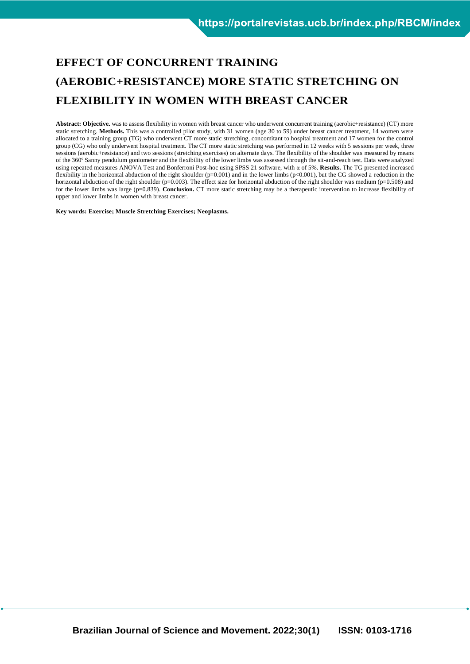## **EFFECT OF CONCURRENT TRAINING (AEROBIC+RESISTANCE) MORE STATIC STRETCHING ON FLEXIBILITY IN WOMEN WITH BREAST CANCER**

Abstract: Objective. was to assess flexibility in women with breast cancer who underwent concurrent training (aerobic+resistance) (CT) more static stretching. **Methods.** This was a controlled pilot study, with 31 women (age 30 to 59) under breast cancer treatment, 14 women were allocated to a training group (TG) who underwent CT more static stretching, concomitant to hospital treatment and 17 women for the control group (CG) who only underwent hospital treatment. The CT more static stretching was performed in 12 weeks with 5 sessions per week, three sessions (aerobic+resistance) and two sessions (stretching exercises) on alternate days. The flexibility of the shoulder was measured by means of the 360º Sanny pendulum goniometer and the flexibility of the lower limbs was assessed through the sit-and-reach test. Data were analyzed using repeated measures ANOVA Test and Bonferroni Post-hoc using SPSS 21 software, with α of 5%. **Results.** The TG presented increased flexibility in the horizontal abduction of the right shoulder ( $p=0.001$ ) and in the lower limbs ( $p<0.001$ ), but the CG showed a reduction in the horizontal abduction of the right shoulder ( $p=0.003$ ). The effect size for horizontal abduction of the right shoulder was medium ( $p=0.508$ ) and for the lower limbs was large (p=0.839). **Conclusion.** CT more static stretching may be a therapeutic intervention to increase flexibility of upper and lower limbs in women with breast cancer.

**Key words: Exercise; Muscle Stretching Exercises; Neoplasms.**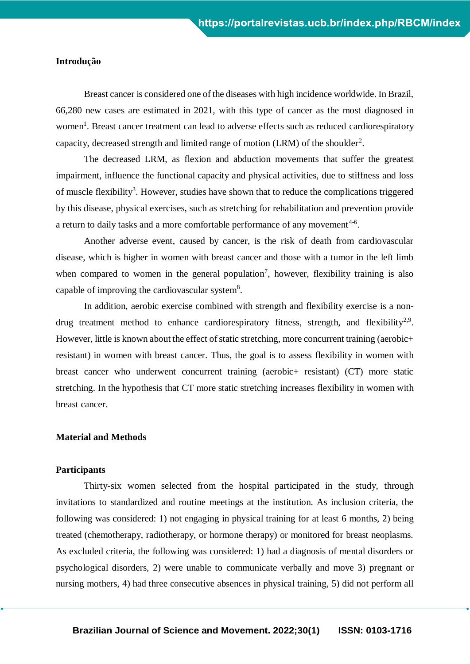#### **Introdução**

Breast cancer is considered one of the diseases with high incidence worldwide. In Brazil, 66,280 new cases are estimated in 2021, with this type of cancer as the most diagnosed in women<sup>1</sup>. Breast cancer treatment can lead to adverse effects such as reduced cardiorespiratory capacity, decreased strength and limited range of motion (LRM) of the shoulder<sup>2</sup>.

The decreased LRM, as flexion and abduction movements that suffer the greatest impairment, influence the functional capacity and physical activities, due to stiffness and loss of muscle flexibility<sup>3</sup>. However, studies have shown that to reduce the complications triggered by this disease, physical exercises, such as stretching for rehabilitation and prevention provide a return to daily tasks and a more comfortable performance of any movement<sup>4-6</sup>.

Another adverse event, caused by cancer, is the risk of death from cardiovascular disease, which is higher in women with breast cancer and those with a tumor in the left limb when compared to women in the general population<sup>7</sup>, however, flexibility training is also capable of improving the cardiovascular system<sup>8</sup>.

In addition, aerobic exercise combined with strength and flexibility exercise is a nondrug treatment method to enhance cardiorespiratory fitness, strength, and flexibility<sup>2,9</sup>. However, little is known about the effect of static stretching, more concurrent training (aerobic+ resistant) in women with breast cancer. Thus, the goal is to assess flexibility in women with breast cancer who underwent concurrent training (aerobic+ resistant) (CT) more static stretching. In the hypothesis that CT more static stretching increases flexibility in women with breast cancer.

#### **Material and Methods**

### **Participants**

Thirty-six women selected from the hospital participated in the study, through invitations to standardized and routine meetings at the institution. As inclusion criteria, the following was considered: 1) not engaging in physical training for at least 6 months, 2) being treated (chemotherapy, radiotherapy, or hormone therapy) or monitored for breast neoplasms. As excluded criteria, the following was considered: 1) had a diagnosis of mental disorders or psychological disorders, 2) were unable to communicate verbally and move 3) pregnant or nursing mothers, 4) had three consecutive absences in physical training, 5) did not perform all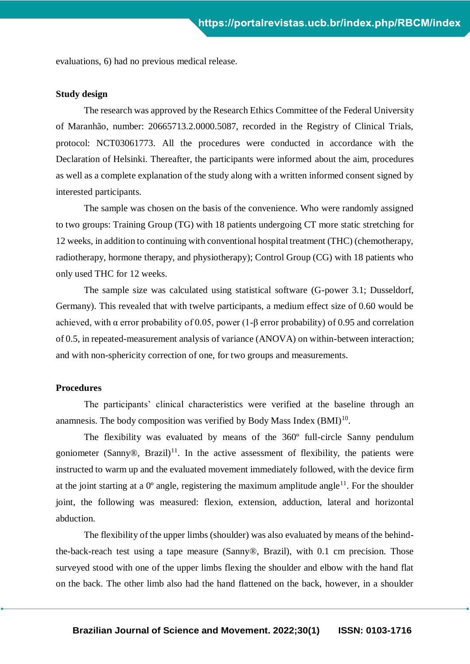evaluations, 6) had no previous medical release.

#### **Study design**

The research was approved by the Research Ethics Committee of the Federal University of Maranhão, number: 20665713.2.0000.5087, recorded in the Registry of Clinical Trials, protocol: NCT03061773. All the procedures were conducted in accordance with the Declaration of Helsinki. Thereafter, the participants were informed about the aim, procedures as well as a complete explanation of the study along with a written informed consent signed by interested participants.

The sample was chosen on the basis of the convenience. Who were randomly assigned to two groups: Training Group (TG) with 18 patients undergoing CT more static stretching for 12 weeks, in addition to continuing with conventional hospital treatment (THC) (chemotherapy, radiotherapy, hormone therapy, and physiotherapy); Control Group (CG) with 18 patients who only used THC for 12 weeks.

The sample size was calculated using statistical software (G-power 3.1; Dusseldorf, Germany). This revealed that with twelve participants, a medium effect size of 0.60 would be achieved, with  $\alpha$  error probability of 0.05, power (1-β error probability) of 0.95 and correlation of 0.5, in repeated-measurement analysis of variance (ANOVA) on within-between interaction; and with non-sphericity correction of one, for two groups and measurements.

#### **Procedures**

The participants' clinical characteristics were verified at the baseline through an anamnesis. The body composition was verified by Body Mass Index  $(BMI)^{10}$ .

The flexibility was evaluated by means of the 360º full-circle Sanny pendulum goniometer (Sanny®, Brazil)<sup>11</sup>. In the active assessment of flexibility, the patients were instructed to warm up and the evaluated movement immediately followed, with the device firm at the joint starting at a  $0^{\circ}$  angle, registering the maximum amplitude angle<sup>11</sup>. For the shoulder joint, the following was measured: flexion, extension, adduction, lateral and horizontal abduction.

The flexibility of the upper limbs (shoulder) was also evaluated by means of the behindthe-back-reach test using a tape measure (Sanny®, Brazil), with 0.1 cm precision. Those surveyed stood with one of the upper limbs flexing the shoulder and elbow with the hand flat on the back. The other limb also had the hand flattened on the back, however, in a shoulder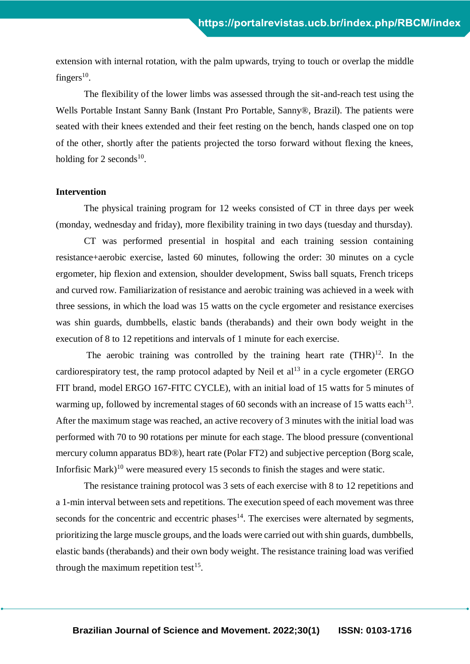extension with internal rotation, with the palm upwards, trying to touch or overlap the middle fingers $^{10}$ .

The flexibility of the lower limbs was assessed through the sit-and-reach test using the Wells Portable Instant Sanny Bank (Instant Pro Portable, Sanny®, Brazil). The patients were seated with their knees extended and their feet resting on the bench, hands clasped one on top of the other, shortly after the patients projected the torso forward without flexing the knees, holding for 2 seconds<sup>10</sup>.

#### **Intervention**

The physical training program for 12 weeks consisted of CT in three days per week (monday, wednesday and friday), more flexibility training in two days (tuesday and thursday).

CT was performed presential in hospital and each training session containing resistance+aerobic exercise, lasted 60 minutes, following the order: 30 minutes on a cycle ergometer, hip flexion and extension, shoulder development, Swiss ball squats, French triceps and curved row. Familiarization of resistance and aerobic training was achieved in a week with three sessions, in which the load was 15 watts on the cycle ergometer and resistance exercises was shin guards, dumbbells, elastic bands (therabands) and their own body weight in the execution of 8 to 12 repetitions and intervals of 1 minute for each exercise.

The aerobic training was controlled by the training heart rate  $(THR)^{12}$ . In the cardiorespiratory test, the ramp protocol adapted by Neil et  $al<sup>13</sup>$  in a cycle ergometer (ERGO FIT brand, model ERGO 167-FITC CYCLE), with an initial load of 15 watts for 5 minutes of warming up, followed by incremental stages of 60 seconds with an increase of 15 watts each<sup>13</sup>. After the maximum stage was reached, an active recovery of 3 minutes with the initial load was performed with 70 to 90 rotations per minute for each stage. The blood pressure (conventional mercury column apparatus BD®), heart rate (Polar FT2) and subjective perception (Borg scale, Inforfisic Mark)<sup>10</sup> were measured every 15 seconds to finish the stages and were static.

The resistance training protocol was 3 sets of each exercise with 8 to 12 repetitions and a 1-min interval between sets and repetitions. The execution speed of each movement was three seconds for the concentric and eccentric phases $14$ . The exercises were alternated by segments, prioritizing the large muscle groups, and the loads were carried out with shin guards, dumbbells, elastic bands (therabands) and their own body weight. The resistance training load was verified through the maximum repetition test<sup>15</sup>.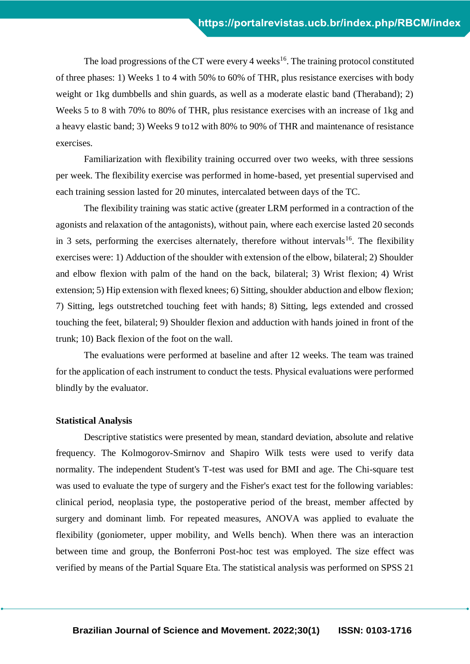The load progressions of the CT were every 4 weeks<sup>16</sup>. The training protocol constituted of three phases: 1) Weeks 1 to 4 with 50% to 60% of THR, plus resistance exercises with body weight or 1kg dumbbells and shin guards, as well as a moderate elastic band (Theraband); 2) Weeks 5 to 8 with 70% to 80% of THR, plus resistance exercises with an increase of 1kg and a heavy elastic band; 3) Weeks 9 to12 with 80% to 90% of THR and maintenance of resistance exercises.

Familiarization with flexibility training occurred over two weeks, with three sessions per week. The flexibility exercise was performed in home-based, yet presential supervised and each training session lasted for 20 minutes, intercalated between days of the TC.

The flexibility training was static active (greater LRM performed in a contraction of the agonists and relaxation of the antagonists), without pain, where each exercise lasted 20 seconds in 3 sets, performing the exercises alternately, therefore without intervals<sup>16</sup>. The flexibility exercises were: 1) Adduction of the shoulder with extension of the elbow, bilateral; 2) Shoulder and elbow flexion with palm of the hand on the back, bilateral; 3) Wrist flexion; 4) Wrist extension; 5) Hip extension with flexed knees; 6) Sitting, shoulder abduction and elbow flexion; 7) Sitting, legs outstretched touching feet with hands; 8) Sitting, legs extended and crossed touching the feet, bilateral; 9) Shoulder flexion and adduction with hands joined in front of the trunk; 10) Back flexion of the foot on the wall.

The evaluations were performed at baseline and after 12 weeks. The team was trained for the application of each instrument to conduct the tests. Physical evaluations were performed blindly by the evaluator.

#### **Statistical Analysis**

Descriptive statistics were presented by mean, standard deviation, absolute and relative frequency. The Kolmogorov-Smirnov and Shapiro Wilk tests were used to verify data normality. The independent Student's T-test was used for BMI and age. The Chi-square test was used to evaluate the type of surgery and the Fisher's exact test for the following variables: clinical period, neoplasia type, the postoperative period of the breast, member affected by surgery and dominant limb. For repeated measures, ANOVA was applied to evaluate the flexibility (goniometer, upper mobility, and Wells bench). When there was an interaction between time and group, the Bonferroni Post-hoc test was employed. The size effect was verified by means of the Partial Square Eta. The statistical analysis was performed on SPSS 21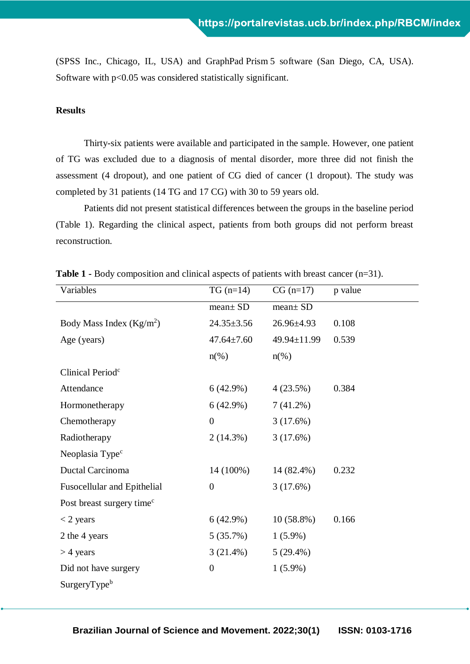(SPSS Inc., Chicago, IL, USA) and GraphPad Prism 5 software (San Diego, CA, USA). Software with p<0.05 was considered statistically significant.

## **Results**

Thirty-six patients were available and participated in the sample. However, one patient of TG was excluded due to a diagnosis of mental disorder, more three did not finish the assessment (4 dropout), and one patient of CG died of cancer (1 dropout). The study was completed by 31 patients (14 TG and 17 CG) with 30 to 59 years old.

Patients did not present statistical differences between the groups in the baseline period (Table 1). Regarding the clinical aspect, patients from both groups did not perform breast reconstruction.

| Variables                             | $TG(n=14)$       | $CG (n=17)$        | p value |
|---------------------------------------|------------------|--------------------|---------|
|                                       | $mean \pm SD$    | $mean \pm SD$      |         |
| Body Mass Index $(Kg/m2)$             | $24.35 \pm 3.56$ | $26.96 \pm 4.93$   | 0.108   |
| Age (years)                           | $47.64 \pm 7.60$ | 49.94±11.99        | 0.539   |
|                                       | $n(\%)$          | $n\left(\%\right)$ |         |
| Clinical Period <sup>c</sup>          |                  |                    |         |
| Attendance                            | 6(42.9%)         | 4(23.5%)           | 0.384   |
| Hormonetherapy                        | 6(42.9%)         | $7(41.2\%)$        |         |
| Chemotherapy                          | $\boldsymbol{0}$ | 3(17.6%)           |         |
| Radiotherapy                          | 2(14.3%)         | 3(17.6%)           |         |
| Neoplasia Type <sup>c</sup>           |                  |                    |         |
| Ductal Carcinoma                      | 14 (100%)        | 14 (82.4%)         | 0.232   |
| <b>Fusocellular and Epithelial</b>    | $\boldsymbol{0}$ | 3(17.6%)           |         |
| Post breast surgery time <sup>c</sup> |                  |                    |         |
| $<$ 2 years                           | 6(42.9%)         | $10(58.8\%)$       | 0.166   |
| 2 the 4 years                         | 5(35.7%)         | $1(5.9\%)$         |         |
| $>$ 4 years                           | 3(21.4%)         | $5(29.4\%)$        |         |
| Did not have surgery                  | $\boldsymbol{0}$ | $1(5.9\%)$         |         |
| SurgeryType <sup>b</sup>              |                  |                    |         |

**Table 1 -** Body composition and clinical aspects of patients with breast cancer (n=31).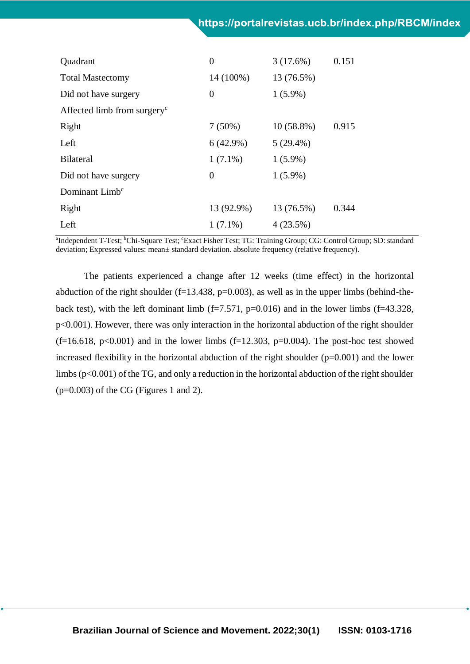| Quadrant                                | $\theta$    | 3(17.6%)     | 0.151 |
|-----------------------------------------|-------------|--------------|-------|
| <b>Total Mastectomy</b>                 | 14 (100%)   | 13 (76.5%)   |       |
| Did not have surgery                    | $\theta$    | $1(5.9\%)$   |       |
| Affected limb from surgery <sup>c</sup> |             |              |       |
| Right                                   | 7(50%)      | $10(58.8\%)$ | 0.915 |
| Left                                    | $6(42.9\%)$ | $5(29.4\%)$  |       |
| <b>Bilateral</b>                        | $1(7.1\%)$  | $1(5.9\%)$   |       |
| Did not have surgery                    | $\Omega$    | $1(5.9\%)$   |       |
| Dominant Limb <sup>c</sup>              |             |              |       |
| Right                                   | 13 (92.9%)  | 13 (76.5%)   | 0.344 |
| Left                                    | $1(7.1\%)$  | 4(23.5%)     |       |

<sup>a</sup>Independent T-Test; <sup>b</sup>Chi-Square Test; 'Exact Fisher Test; TG: Training Group; CG: Control Group; SD: standard deviation; Expressed values: mean± standard deviation. absolute frequency (relative frequency).

The patients experienced a change after 12 weeks (time effect) in the horizontal abduction of the right shoulder ( $f=13.438$ ,  $p=0.003$ ), as well as in the upper limbs (behind-theback test), with the left dominant limb  $(f=7.571, p=0.016)$  and in the lower limbs  $(f=43.328,$ p<0.001). However, there was only interaction in the horizontal abduction of the right shoulder  $(f=16.618, p<0.001)$  and in the lower limbs  $(f=12.303, p=0.004)$ . The post-hoc test showed increased flexibility in the horizontal abduction of the right shoulder  $(p=0.001)$  and the lower limbs ( $p<0.001$ ) of the TG, and only a reduction in the horizontal abduction of the right shoulder  $(p=0.003)$  of the CG (Figures 1 and 2).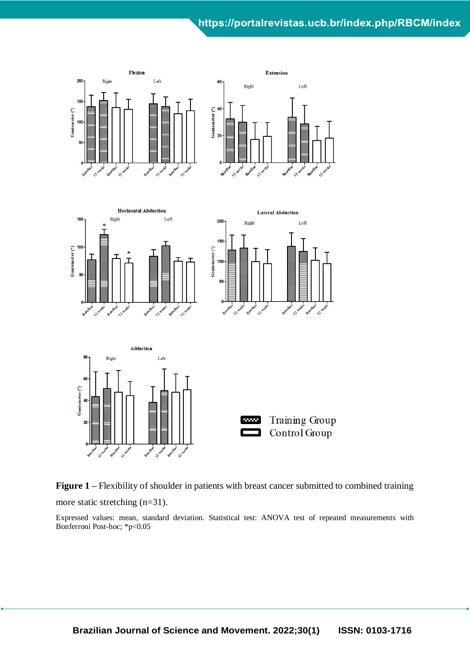## https://portalrevistas.ucb.br/index.php/RBCM/index





Expressed values: mean, standard deviation. Statistical test: ANOVA test of repeated measurements with Bonferroni Post-hoc; \*p<0.05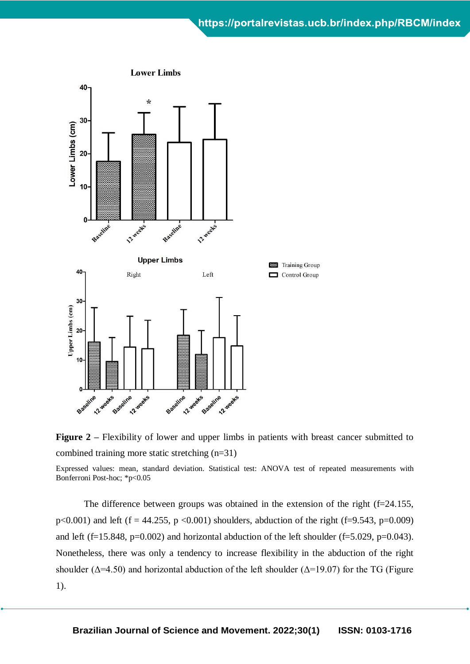

**Figure 2** – Flexibility of lower and upper limbs in patients with breast cancer submitted to combined training more static stretching (n=31)

Expressed values: mean, standard deviation. Statistical test: ANOVA test of repeated measurements with Bonferroni Post-hoc; \*p<0.05

The difference between groups was obtained in the extension of the right (f=24.155, p<0.001) and left (f = 44.255, p <0.001) shoulders, abduction of the right (f=9.543, p=0.009) and left (f=15.848, p=0.002) and horizontal abduction of the left shoulder (f=5.029, p=0.043). Nonetheless, there was only a tendency to increase flexibility in the abduction of the right shoulder ( $\Delta$ =4.50) and horizontal abduction of the left shoulder ( $\Delta$ =19.07) for the TG (Figure 1).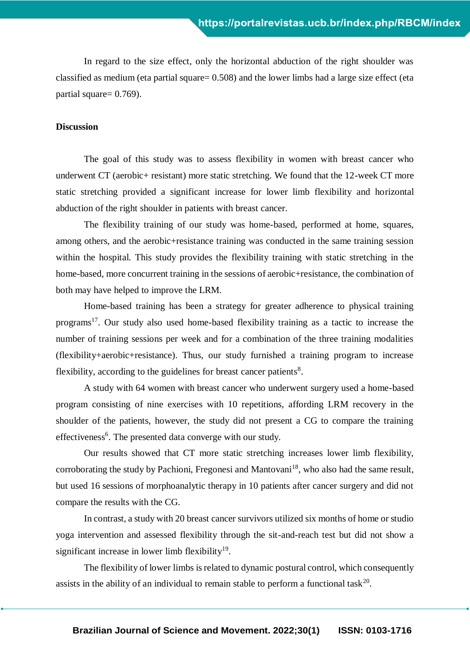In regard to the size effect, only the horizontal abduction of the right shoulder was classified as medium (eta partial square= 0.508) and the lower limbs had a large size effect (eta partial square= 0.769).

## **Discussion**

The goal of this study was to assess flexibility in women with breast cancer who underwent CT (aerobic+ resistant) more static stretching. We found that the 12-week CT more static stretching provided a significant increase for lower limb flexibility and horizontal abduction of the right shoulder in patients with breast cancer.

The flexibility training of our study was home-based, performed at home, squares, among others, and the aerobic+resistance training was conducted in the same training session within the hospital. This study provides the flexibility training with static stretching in the home-based, more concurrent training in the sessions of aerobic+resistance, the combination of both may have helped to improve the LRM.

Home-based training has been a strategy for greater adherence to physical training programs<sup>17</sup>. Our study also used home-based flexibility training as a tactic to increase the number of training sessions per week and for a combination of the three training modalities (flexibility+aerobic+resistance). Thus, our study furnished a training program to increase flexibility, according to the guidelines for breast cancer patients<sup>8</sup>.

A study with 64 women with breast cancer who underwent surgery used a home-based program consisting of nine exercises with 10 repetitions, affording LRM recovery in the shoulder of the patients, however, the study did not present a CG to compare the training effectiveness<sup>6</sup>. The presented data converge with our study.

Our results showed that CT more static stretching increases lower limb flexibility, corroborating the study by Pachioni, Fregonesi and Mantovani<sup>18</sup>, who also had the same result, but used 16 sessions of morphoanalytic therapy in 10 patients after cancer surgery and did not compare the results with the CG.

In contrast, a study with 20 breast cancer survivors utilized six months of home or studio yoga intervention and assessed flexibility through the sit-and-reach test but did not show a significant increase in lower limb flexibility<sup>19</sup>.

The flexibility of lower limbs is related to dynamic postural control, which consequently assists in the ability of an individual to remain stable to perform a functional task<sup>20</sup>.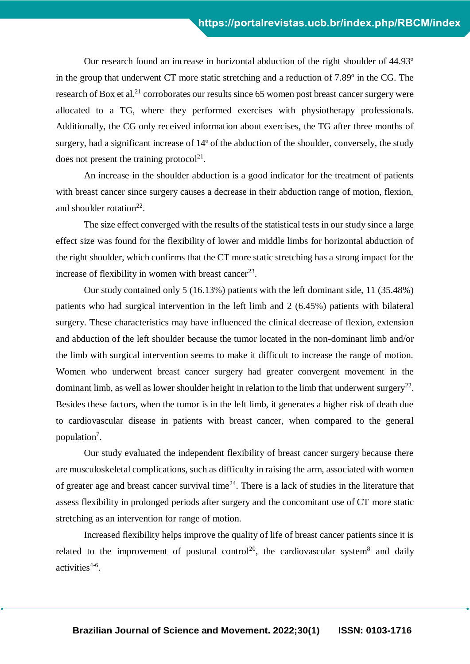Our research found an increase in horizontal abduction of the right shoulder of 44.93º in the group that underwent CT more static stretching and a reduction of 7.89º in the CG. The research of Box et al.<sup>21</sup> corroborates our results since 65 women post breast cancer surgery were allocated to a TG, where they performed exercises with physiotherapy professionals. Additionally, the CG only received information about exercises, the TG after three months of surgery, had a significant increase of 14º of the abduction of the shoulder, conversely, the study does not present the training protocol<sup>21</sup>.

An increase in the shoulder abduction is a good indicator for the treatment of patients with breast cancer since surgery causes a decrease in their abduction range of motion, flexion, and shoulder rotation<sup>22</sup>.

The size effect converged with the results of the statistical tests in our study since a large effect size was found for the flexibility of lower and middle limbs for horizontal abduction of the right shoulder, which confirms that the CT more static stretching has a strong impact for the increase of flexibility in women with breast cancer<sup>23</sup>.

Our study contained only 5 (16.13%) patients with the left dominant side, 11 (35.48%) patients who had surgical intervention in the left limb and 2 (6.45%) patients with bilateral surgery. These characteristics may have influenced the clinical decrease of flexion, extension and abduction of the left shoulder because the tumor located in the non-dominant limb and/or the limb with surgical intervention seems to make it difficult to increase the range of motion. Women who underwent breast cancer surgery had greater convergent movement in the dominant limb, as well as lower shoulder height in relation to the limb that underwent surgery<sup>22</sup>. Besides these factors, when the tumor is in the left limb, it generates a higher risk of death due to cardiovascular disease in patients with breast cancer, when compared to the general population<sup>7</sup>.

Our study evaluated the independent flexibility of breast cancer surgery because there are musculoskeletal complications, such as difficulty in raising the arm, associated with women of greater age and breast cancer survival time<sup>24</sup>. There is a lack of studies in the literature that assess flexibility in prolonged periods after surgery and the concomitant use of CT more static stretching as an intervention for range of motion.

Increased flexibility helps improve the quality of life of breast cancer patients since it is related to the improvement of postural control<sup>20</sup>, the cardiovascular system<sup>8</sup> and daily activities<sup>4-6</sup>.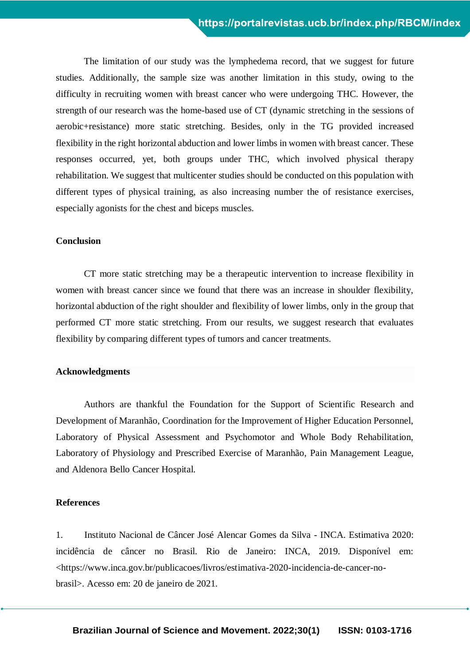The limitation of our study was the lymphedema record, that we suggest for future studies. Additionally, the sample size was another limitation in this study, owing to the difficulty in recruiting women with breast cancer who were undergoing THC. However, the strength of our research was the home-based use of CT (dynamic stretching in the sessions of aerobic+resistance) more static stretching. Besides, only in the TG provided increased flexibility in the right horizontal abduction and lower limbs in women with breast cancer. These responses occurred, yet, both groups under THC, which involved physical therapy rehabilitation. We suggest that multicenter studies should be conducted on this population with different types of physical training, as also increasing number the of resistance exercises, especially agonists for the chest and biceps muscles.

### **Conclusion**

CT more static stretching may be a therapeutic intervention to increase flexibility in women with breast cancer since we found that there was an increase in shoulder flexibility, horizontal abduction of the right shoulder and flexibility of lower limbs, only in the group that performed CT more static stretching. From our results, we suggest research that evaluates flexibility by comparing different types of tumors and cancer treatments.

#### **Acknowledgments**

Authors are thankful the Foundation for the Support of Scientific Research and Development of Maranhão, Coordination for the Improvement of Higher Education Personnel, Laboratory of Physical Assessment and Psychomotor and Whole Body Rehabilitation, Laboratory of Physiology and Prescribed Exercise of Maranhão, Pain Management League, and Aldenora Bello Cancer Hospital.

#### **References**

1. Instituto Nacional de Câncer José Alencar Gomes da Silva - INCA. Estimativa 2020: incidência de câncer no Brasil. Rio de Janeiro: INCA, 2019. Disponível em: <https://www.inca.gov.br/publicacoes/livros/estimativa-2020-incidencia-de-cancer-nobrasil>. Acesso em: 20 de janeiro de 2021.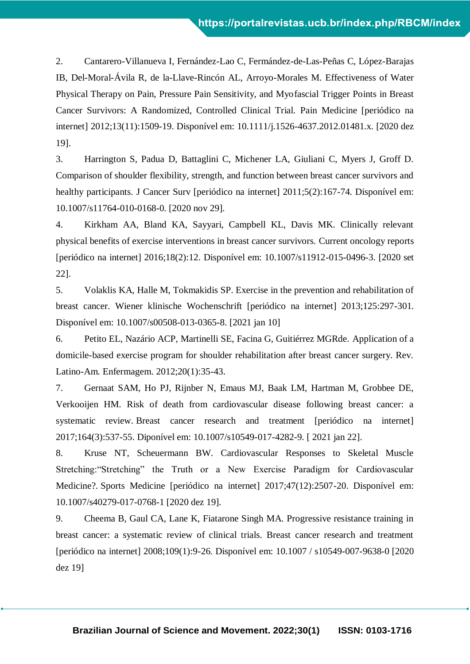2. Cantarero-Villanueva I, Fernández-Lao C, Fermández-de-Las-Peñas C, López-Barajas IB, Del-Moral-Ávila R, de la-Llave-Rincón AL, Arroyo-Morales M. Effectiveness of Water Physical Therapy on Pain, Pressure Pain Sensitivity, and Myofascial Trigger Points in Breast Cancer Survivors: A Randomized, Controlled Clinical Trial. Pain Medicine [periódico na internet] 2012;13(11):1509-19. Disponível em: 10.1111/j.1526-4637.2012.01481.x. [2020 dez 19].

3. Harrington S, Padua D, Battaglini C, Michener LA, Giuliani C, Myers J, Groff D. Comparison of shoulder flexibility, strength, and function between breast cancer survivors and healthy participants. J Cancer Surv [periódico na internet]  $2011;5(2):167-74$ . Disponível em: 10.1007/s11764-010-0168-0. [2020 nov 29].

4. Kirkham AA, Bland KA, Sayyari, Campbell KL, Davis MK. Clinically relevant physical benefits of exercise interventions in breast cancer survivors. Current oncology reports [periódico na internet] 2016;18(2):12. Disponível em: 10.1007/s11912-015-0496-3. [2020 set 22].

5. Volaklis KA, Halle M, Tokmakidis SP. Exercise in the prevention and rehabilitation of breast cancer. Wiener klinische Wochenschrift [periódico na internet] 2013;125:297-301. Disponível em: 10.1007/s00508-013-0365-8. [2021 jan 10]

6. Petito EL, Nazário ACP, Martinelli SE, Facina G, Guitiérrez MGRde. Application of a domicile-based exercise program for shoulder rehabilitation after breast cancer surgery. Rev. Latino-Am. Enfermagem. 2012;20(1):35-43.

7. Gernaat SAM, Ho PJ, Rijnber N, Emaus MJ, Baak LM, Hartman M, Grobbee DE, Verkooijen HM. Risk of death from cardiovascular disease following breast cancer: a systematic review. Breast cancer research and treatment [periódico na internet] 2017;164(3):537-55. Diponível em: 10.1007/s10549-017-4282-9. [ 2021 jan 22].

8. Kruse NT, Scheuermann BW. Cardiovascular Responses to Skeletal Muscle Stretching:"Stretching" the Truth or a New Exercise Paradigm for Cardiovascular Medicine?. Sports Medicine [periódico na internet] 2017;47(12):2507-20. Disponível em: 10.1007/s40279-017-0768-1 [2020 dez 19].

9. Cheema B, Gaul CA, Lane K, Fiatarone Singh MA. Progressive resistance training in breast cancer: a systematic review of clinical trials. Breast cancer research and treatment [periódico na internet] 2008;109(1):9-26. Disponível em: [10.1007 / s10549-007-9638-0](https://doi.org/10.1007/s10549-007-9638-0) [2020 dez 19]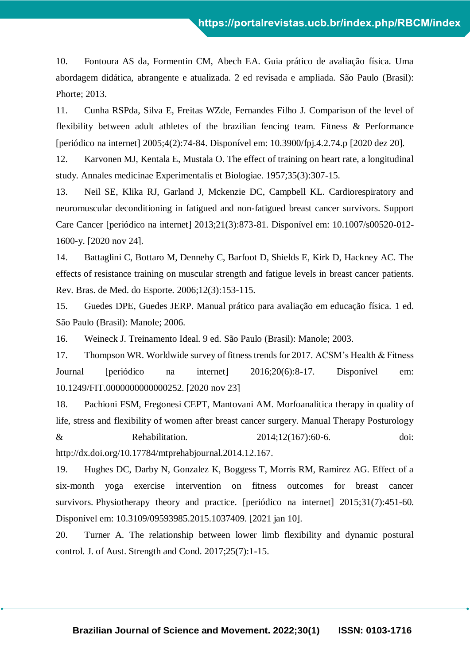10. Fontoura AS da, Formentin CM, Abech EA. Guia prático de avaliação física. Uma abordagem didática, abrangente e atualizada. 2 ed revisada e ampliada. São Paulo (Brasil): Phorte; 2013.

11. Cunha RSPda, Silva E, Freitas WZde, Fernandes Filho J. Comparison of the level of flexibility between adult athletes of the brazilian fencing team. Fitness & Performance [periódico na internet] 2005;4(2):74-84. Disponível em: [10.3900/fpj.4.2.74.p](https://doi.org/10.1007/s10549-007-9638-0) [2020 dez 20].

12. Karvonen MJ, Kentala E, Mustala O. The effect of training on heart rate, a longitudinal study. Annales medicinae Experimentalis et Biologiae. 1957;35(3):307-15.

13. Neil SE, Klika RJ, Garland J, Mckenzie DC, Campbell KL. Cardiorespiratory and neuromuscular deconditioning in fatigued and non-fatigued breast cancer survivors. Support Care Cancer [periódico na internet] 2013;21(3):873-81. Disponível em: 10.1007/s00520-012- 1600-y. [2020 nov 24].

14. Battaglini C, Bottaro M, Dennehy C, Barfoot D, Shields E, Kirk D, Hackney AC. The effects of resistance training on muscular strength and fatigue levels in breast cancer patients. Rev. Bras. de Med. do Esporte. 2006;12(3):153-115.

15. Guedes DPE, Guedes JERP. Manual prático para avaliação em educação física. 1 ed. São Paulo (Brasil): Manole; 2006.

16. Weineck J. Treinamento Ideal. 9 ed. São Paulo (Brasil): Manole; 2003.

17. Thompson WR. Worldwide survey of fitness trends for 2017. ACSM's Health & Fitness Journal [periódico na internet] 2016;20(6):8-17. Disponível em: 10.1249/FIT.0000000000000252. [2020 nov 23]

18. Pachioni FSM, Fregonesi CEPT, Mantovani AM. Morfoanalitica therapy in quality of life, stress and flexibility of women after breast cancer surgery. Manual Therapy Posturology & Rehabilitation. 2014;12(167):60-6. doi: [http://dx.doi.org/10.17784/mtprehabjournal.2014.12.167.](http://dx.doi.org/10.17784/mtprehabjournal.2014.12.167)

19. Hughes DC, Darby N, Gonzalez K, Boggess T, Morris RM, Ramirez AG. Effect of a six-month yoga exercise intervention on fitness outcomes for breast cancer survivors. Physiotherapy theory and practice. [periódico na internet] 2015;31(7):451-60. Disponível em: 10.3109/09593985.2015.1037409. [2021 jan 10].

20. Turner A. The relationship between lower limb flexibility and dynamic postural control. J. of Aust. Strength and Cond. 2017;25(7):1-15.